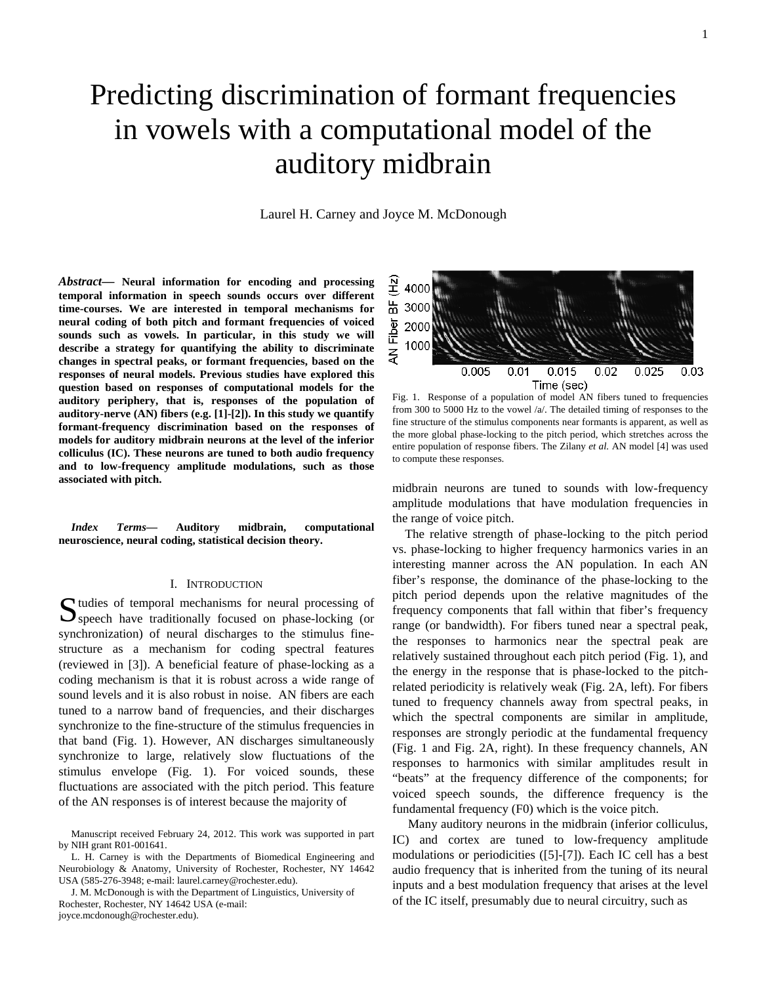# Predicting discrimination of formant frequencies in vowels with a computational model of the auditory midbrain

Laurel H. Carney and Joyce M. McDonough

*Abstract***— Neural information for encoding and processing temporal information in speech sounds occurs over different time-courses. We are interested in temporal mechanisms for neural coding of both pitch and formant frequencies of voiced sounds such as vowels. In particular, in this study we will describe a strategy for quantifying the ability to discriminate changes in spectral peaks, or formant frequencies, based on the responses of neural models. Previous studies have explored this question based on responses of computational models for the auditory periphery, that is, responses of the population of auditory-nerve (AN) fibers (e.g. [1]-[2]). In this study we quantify formant-frequency discrimination based on the responses of models for auditory midbrain neurons at the level of the inferior colliculus (IC). These neurons are tuned to both audio frequency and to low-frequency amplitude modulations, such as those associated with pitch.**

*Index Terms***— Auditory midbrain, computational neuroscience, neural coding, statistical decision theory.**

#### I. **INTRODUCTION**

tudies of temporal mechanisms for neural processing of Sudies of temporal mechanisms for neural processing of speech have traditionally focused on phase-locking (or synchronization) of neural discharges to the stimulus finestructure as a mechanism for coding spectral features (reviewed in [3]). A beneficial feature of phase-locking as a coding mechanism is that it is robust across a wide range of sound levels and it is also robust in noise. AN fibers are each tuned to a narrow band of frequencies, and their discharges synchronize to the fine-structure of the stimulus frequencies in that band (Fig. 1). However, AN discharges simultaneously synchronize to large, relatively slow fluctuations of the stimulus envelope (Fig. 1). For voiced sounds, these fluctuations are associated with the pitch period. This feature of the AN responses is of interest because the majority of

L. H. Carney is with the Departments of Biomedical Engineering and Neurobiology & Anatomy, University of Rochester, Rochester, NY 14642 USA (585-276-3948; e-mail: laurel.carney@rochester.edu).

J. M. McDonough is with the Department of Linguistics, University of Rochester, Rochester, NY 14642 USA (e-mail: joyce.mcdonough@rochester.edu).

 $\overline{f}$ 4000 눕 3000 Fiber 2000 100  $\vec{\xi}$ 0.005  $0.01$ 0.015  $0.02$ 0.025  $0.03$ Time (sec)

Fig. 1. Response of a population of model AN fibers tuned to frequencies from 300 to 5000 Hz to the vowel /a/. The detailed timing of responses to the fine structure of the stimulus components near formants is apparent, as well as the more global phase-locking to the pitch period, which stretches across the entire population of response fibers. The Zilany *et al.* AN model [4] was used to compute these responses.

midbrain neurons are tuned to sounds with low-frequency amplitude modulations that have modulation frequencies in the range of voice pitch.

The relative strength of phase-locking to the pitch period vs. phase-locking to higher frequency harmonics varies in an interesting manner across the AN population. In each AN fiber's response, the dominance of the phase-locking to the pitch period depends upon the relative magnitudes of the frequency components that fall within that fiber's frequency range (or bandwidth). For fibers tuned near a spectral peak, the responses to harmonics near the spectral peak are relatively sustained throughout each pitch period (Fig. 1), and the energy in the response that is phase-locked to the pitchrelated periodicity is relatively weak (Fig. 2A, left). For fibers tuned to frequency channels away from spectral peaks, in which the spectral components are similar in amplitude, responses are strongly periodic at the fundamental frequency (Fig. 1 and Fig. 2A, right). In these frequency channels, AN responses to harmonics with similar amplitudes result in "beats" at the frequency difference of the components; for voiced speech sounds, the difference frequency is the fundamental frequency (F0) which is the voice pitch.

Many auditory neurons in the midbrain (inferior colliculus, IC) and cortex are tuned to low-frequency amplitude modulations or periodicities ([5]-[7]). Each IC cell has a best audio frequency that is inherited from the tuning of its neural inputs and a best modulation frequency that arises at the level of the IC itself, presumably due to neural circuitry, such as

Manuscript received February 24, 2012. This work was supported in part by NIH grant R01-001641.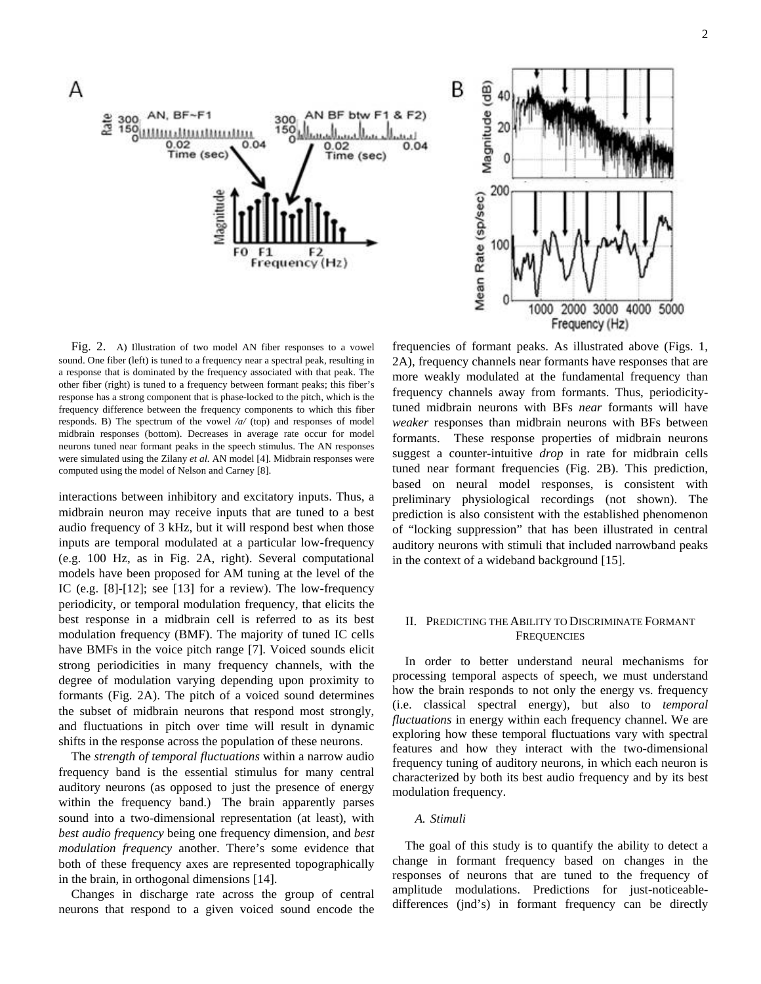



Fig. 2. A) Illustration of two model AN fiber responses to a vowel sound. One fiber (left) is tuned to a frequency near a spectral peak, resulting in a response that is dominated by the frequency associated with that peak. The other fiber (right) is tuned to a frequency between formant peaks; this fiber's response has a strong component that is phase-locked to the pitch, which is the frequency difference between the frequency components to which this fiber responds. B) The spectrum of the vowel */a/* (top) and responses of model midbrain responses (bottom). Decreases in average rate occur for model neurons tuned near formant peaks in the speech stimulus. The AN responses were simulated using the Zilany *et al.* AN model [4]. Midbrain responses were computed using the model of Nelson and Carney [8].

interactions between inhibitory and excitatory inputs. Thus, a midbrain neuron may receive inputs that are tuned to a best audio frequency of 3 kHz, but it will respond best when those inputs are temporal modulated at a particular low-frequency (e.g. 100 Hz, as in Fig. 2A, right). Several computational models have been proposed for AM tuning at the level of the IC (e.g. [8]-[12]; see [13] for a review). The low-frequency periodicity, or temporal modulation frequency, that elicits the best response in a midbrain cell is referred to as its best modulation frequency (BMF). The majority of tuned IC cells have BMFs in the voice pitch range [7]. Voiced sounds elicit strong periodicities in many frequency channels, with the degree of modulation varying depending upon proximity to formants (Fig. 2A). The pitch of a voiced sound determines the subset of midbrain neurons that respond most strongly, and fluctuations in pitch over time will result in dynamic shifts in the response across the population of these neurons.

The *strength of temporal fluctuations* within a narrow audio frequency band is the essential stimulus for many central auditory neurons (as opposed to just the presence of energy within the frequency band.) The brain apparently parses sound into a two-dimensional representation (at least), with *best audio frequency* being one frequency dimension, and *best modulation frequency* another. There's some evidence that both of these frequency axes are represented topographically in the brain, in orthogonal dimensions [14].

Changes in discharge rate across the group of central neurons that respond to a given voiced sound encode the

frequencies of formant peaks. As illustrated above (Figs. 1, 2A), frequency channels near formants have responses that are more weakly modulated at the fundamental frequency than frequency channels away from formants. Thus, periodicitytuned midbrain neurons with BFs *near* formants will have *weaker* responses than midbrain neurons with BFs between formants. These response properties of midbrain neurons suggest a counter-intuitive *drop* in rate for midbrain cells tuned near formant frequencies (Fig. 2B). This prediction, based on neural model responses, is consistent with preliminary physiological recordings (not shown). The prediction is also consistent with the established phenomenon of "locking suppression" that has been illustrated in central auditory neurons with stimuli that included narrowband peaks in the context of a wideband background [15].

## II. PREDICTING THE ABILITY TO DISCRIMINATE FORMANT **FREQUENCIES**

 In order to better understand neural mechanisms for processing temporal aspects of speech, we must understand how the brain responds to not only the energy vs. frequency (i.e. classical spectral energy), but also to *temporal fluctuations* in energy within each frequency channel. We are exploring how these temporal fluctuations vary with spectral features and how they interact with the two-dimensional frequency tuning of auditory neurons, in which each neuron is characterized by both its best audio frequency and by its best modulation frequency.

#### *A. Stimuli*

The goal of this study is to quantify the ability to detect a change in formant frequency based on changes in the responses of neurons that are tuned to the frequency of amplitude modulations. Predictions for just-noticeabledifferences (jnd's) in formant frequency can be directly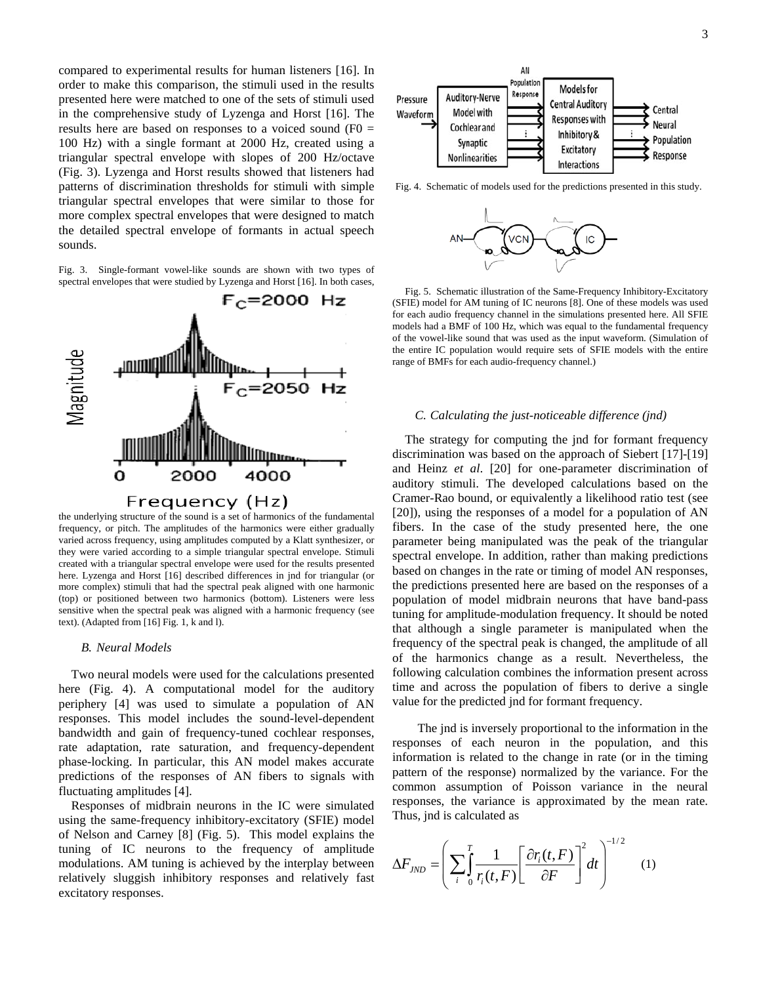compared to experimental results for human listeners [16]. In order to make this comparison, the stimuli used in the results presented here were matched to one of the sets of stimuli used in the comprehensive study of Lyzenga and Horst [16]. The results here are based on responses to a voiced sound (F0 = 100 Hz) with a single formant at 2000 Hz, created using a triangular spectral envelope with slopes of 200 Hz/octave (Fig. 3). Lyzenga and Horst results showed that listeners had patterns of discrimination thresholds for stimuli with simple triangular spectral envelopes that were similar to those for more complex spectral envelopes that were designed to match the detailed spectral envelope of formants in actual speech sounds.

Fig. 3. Single-formant vowel-like sounds are shown with two types of spectral envelopes that were studied by Lyzenga and Horst [16]. In both cases,



## Frequency (Hz)

the underlying structure of the sound is a set of harmonics of the fundamental frequency, or pitch. The amplitudes of the harmonics were either gradually varied across frequency, using amplitudes computed by a Klatt synthesizer, or they were varied according to a simple triangular spectral envelope. Stimuli created with a triangular spectral envelope were used for the results presented here. Lyzenga and Horst [16] described differences in jnd for triangular (or more complex) stimuli that had the spectral peak aligned with one harmonic (top) or positioned between two harmonics (bottom). Listeners were less sensitive when the spectral peak was aligned with a harmonic frequency (see text). (Adapted from [16] Fig. 1, k and l).

#### *B. Neural Models*

Two neural models were used for the calculations presented here (Fig. 4). A computational model for the auditory periphery [4] was used to simulate a population of AN responses. This model includes the sound-level-dependent bandwidth and gain of frequency-tuned cochlear responses, rate adaptation, rate saturation, and frequency-dependent phase-locking. In particular, this AN model makes accurate predictions of the responses of AN fibers to signals with fluctuating amplitudes [4].

Responses of midbrain neurons in the IC were simulated using the same-frequency inhibitory-excitatory (SFIE) model of Nelson and Carney [8] (Fig. 5). This model explains the tuning of IC neurons to the frequency of amplitude modulations. AM tuning is achieved by the interplay between relatively sluggish inhibitory responses and relatively fast excitatory responses.



Fig. 4. Schematic of models used for the predictions presented in this study.



Fig. 5. Schematic illustration of the Same-Frequency Inhibitory-Excitatory (SFIE) model for AM tuning of IC neurons [8]. One of these models was used for each audio frequency channel in the simulations presented here. All SFIE models had a BMF of 100 Hz, which was equal to the fundamental frequency of the vowel-like sound that was used as the input waveform. (Simulation of the entire IC population would require sets of SFIE models with the entire range of BMFs for each audio-frequency channel.)

#### *C. Calculating the just-noticeable difference (jnd)*

The strategy for computing the jnd for formant frequency discrimination was based on the approach of Siebert [17]-[19] and Heinz *et al*. [20] for one-parameter discrimination of auditory stimuli. The developed calculations based on the Cramer-Rao bound, or equivalently a likelihood ratio test (see [20]), using the responses of a model for a population of AN fibers. In the case of the study presented here, the one parameter being manipulated was the peak of the triangular spectral envelope. In addition, rather than making predictions based on changes in the rate or timing of model AN responses, the predictions presented here are based on the responses of a population of model midbrain neurons that have band-pass tuning for amplitude-modulation frequency. It should be noted that although a single parameter is manipulated when the frequency of the spectral peak is changed, the amplitude of all of the harmonics change as a result. Nevertheless, the following calculation combines the information present across time and across the population of fibers to derive a single value for the predicted jnd for formant frequency.

The jnd is inversely proportional to the information in the responses of each neuron in the population, and this information is related to the change in rate (or in the timing pattern of the response) normalized by the variance. For the common assumption of Poisson variance in the neural responses, the variance is approximated by the mean rate. Thus, jnd is calculated as

$$
\Delta F_{JND} = \left(\sum_{i} \int_{0}^{T} \frac{1}{r_i(t, F)} \left[\frac{\partial r_i(t, F)}{\partial F}\right]^2 dt\right)^{-1/2} \quad (1)
$$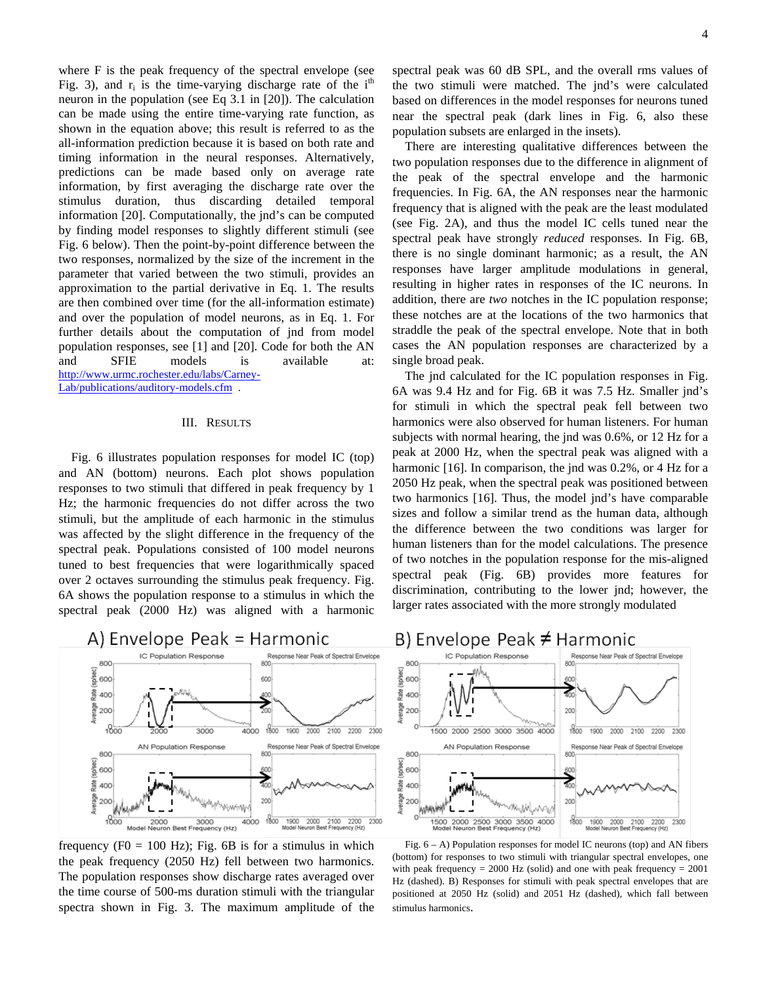where F is the peak frequency of the spectral envelope (see Fig. 3), and  $r_i$  is the time-varying discharge rate of the i<sup>th</sup> neuron in the population (see Eq 3.1 in [20]). The calculation can be made using the entire time-varying rate function, as shown in the equation above; this result is referred to as the all-information prediction because it is based on both rate and timing information in the neural responses. Alternatively, predictions can be made based only on average rate information, by first averaging the discharge rate over the stimulus duration, thus discarding detailed temporal information [20]. Computationally, the jnd's can be computed by finding model responses to slightly different stimuli (see Fig. 6 below). Then the point-by-point difference between the two responses, normalized by the size of the increment in the parameter that varied between the two stimuli, provides an approximation to the partial derivative in Eq. 1. The results are then combined over time (for the all-information estimate) and over the population of model neurons, as in Eq. 1. For further details about the computation of jnd from model population responses, see [1] and [20]. Code for both the AN and SFIE models is available at: *HU*[http://www.urmc.rochester.edu/labs/Carney-](http://www.urmc.rochester.edu/labs/Carney-Lab/publications/auditory-models.cfm)[Lab/publications/auditory-models.cfm](http://www.urmc.rochester.edu/labs/Carney-Lab/publications/auditory-models.cfm) .

#### **III.** RESULTS

Fig. 6 illustrates population responses for model IC (top) and AN (bottom) neurons. Each plot shows population responses to two stimuli that differed in peak frequency by 1 Hz; the harmonic frequencies do not differ across the two stimuli, but the amplitude of each harmonic in the stimulus was affected by the slight difference in the frequency of the spectral peak. Populations consisted of 100 model neurons tuned to best frequencies that were logarithmically spaced over 2 octaves surrounding the stimulus peak frequency. Fig. 6A shows the population response to a stimulus in which the spectral peak (2000 Hz) was aligned with a harmonic





spectral peak was 60 dB SPL, and the overall rms values of the two stimuli were matched. The jnd's were calculated based on differences in the model responses for neurons tuned near the spectral peak (dark lines in Fig. 6, also these population subsets are enlarged in the insets).

There are interesting qualitative differences between the two population responses due to the difference in alignment of the peak of the spectral envelope and the harmonic frequencies. In Fig. 6A, the AN responses near the harmonic frequency that is aligned with the peak are the least modulated (see Fig. 2A), and thus the model IC cells tuned near the spectral peak have strongly *reduced* responses. In Fig. 6B, there is no single dominant harmonic; as a result, the AN responses have larger amplitude modulations in general, resulting in higher rates in responses of the IC neurons. In addition, there are *two* notches in the IC population response; these notches are at the locations of the two harmonics that straddle the peak of the spectral envelope. Note that in both cases the AN population responses are characterized by a single broad peak.

The jnd calculated for the IC population responses in Fig. 6A was 9.4 Hz and for Fig. 6B it was 7.5 Hz. Smaller jnd's for stimuli in which the spectral peak fell between two harmonics were also observed for human listeners. For human subjects with normal hearing, the jnd was 0.6%, or 12 Hz for a peak at 2000 Hz, when the spectral peak was aligned with a harmonic [16]. In comparison, the jnd was 0.2%, or 4 Hz for a 2050 Hz peak, when the spectral peak was positioned between two harmonics [16]. Thus, the model jnd's have comparable sizes and follow a similar trend as the human data, although the difference between the two conditions was larger for human listeners than for the model calculations. The presence of two notches in the population response for the mis-aligned spectral peak (Fig. 6B) provides more features for discrimination, contributing to the lower jnd; however, the larger rates associated with the more strongly modulated

# B) Envelope Peak ≠ Harmonic



Fig.  $6 - A$ ) Population responses for model IC neurons (top) and AN fibers (bottom) for responses to two stimuli with triangular spectral envelopes, one with peak frequency =  $2000$  Hz (solid) and one with peak frequency =  $2001$ Hz (dashed). B) Responses for stimuli with peak spectral envelopes that are positioned at 2050 Hz (solid) and 2051 Hz (dashed), which fall between stimulus harmonics.